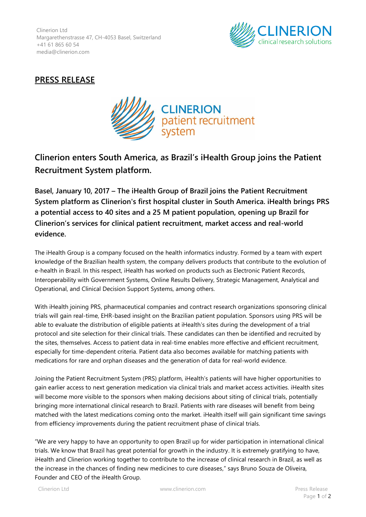Clinerion Ltd Margarethenstrasse 47, CH-4053 Basel, Switzerland +41 61 865 60 54 media@clinerion.com



## **PRESS RELEASE**



## **Clinerion enters South America, as Brazil's iHealth Group joins the Patient Recruitment System platform.**

**Basel, January 10, 2017 – The iHealth Group of Brazil joins the Patient Recruitment System platform as Clinerion's first hospital cluster in South America. iHealth brings PRS a potential access to 40 sites and a 25 M patient population, opening up Brazil for Clinerion's services for clinical patient recruitment, market access and real-world evidence.**

The iHealth Group is a company focused on the health informatics industry. Formed by a team with expert knowledge of the Brazilian health system, the company delivers products that contribute to the evolution of e-health in Brazil. In this respect, iHealth has worked on products such as Electronic Patient Records, Interoperability with Government Systems, Online Results Delivery, Strategic Management, Analytical and Operational, and Clinical Decision Support Systems, among others.

With iHealth joining PRS, pharmaceutical companies and contract research organizations sponsoring clinical trials will gain real-time, EHR-based insight on the Brazilian patient population. Sponsors using PRS will be able to evaluate the distribution of eligible patients at iHealth's sites during the development of a trial protocol and site selection for their clinical trials. These candidates can then be identified and recruited by the sites, themselves. Access to patient data in real-time enables more effective and efficient recruitment, especially for time-dependent criteria. Patient data also becomes available for matching patients with medications for rare and orphan diseases and the generation of data for real-world evidence.

Joining the Patient Recruitment System (PRS) platform, iHealth's patients will have higher opportunities to gain earlier access to next generation medication via clinical trials and market access activities. iHealth sites will become more visible to the sponsors when making decisions about siting of clinical trials, potentially bringing more international clinical research to Brazil. Patients with rare diseases will benefit from being matched with the latest medications coming onto the market. iHealth itself will gain significant time savings from efficiency improvements during the patient recruitment phase of clinical trials.

"We are very happy to have an opportunity to open Brazil up for wider participation in international clinical trials. We know that Brazil has great potential for growth in the industry. It is extremely gratifying to have, iHealth and Clinerion working together to contribute to the increase of clinical research in Brazil, as well as the increase in the chances of finding new medicines to cure diseases," says Bruno Souza de Oliveira, Founder and CEO of the iHealth Group.